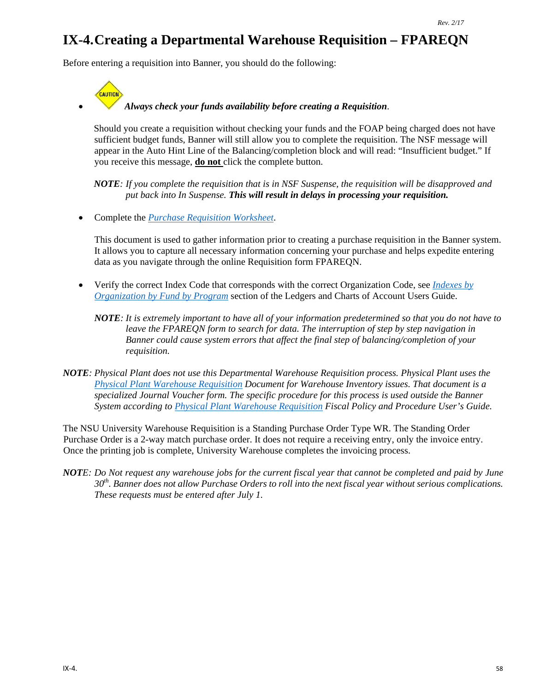# **IX-4.Creating a Departmental Warehouse Requisition – FPAREQN**

Before entering a requisition into Banner, you should do the following:



### • *Always check your funds availability before creating a Requisition*.

Should you create a requisition without checking your funds and the FOAP being charged does not have sufficient budget funds, Banner will still allow you to complete the requisition. The NSF message will appear in the Auto Hint Line of the Balancing/completion block and will read: "Insufficient budget." If you receive this message, **do not** click the complete button.

*NOTE: If you complete the requisition that is in NSF Suspense, the requisition will be disapproved and put back into In Suspense. This will result in delays in processing your requisition.*

• Complete the *[Purchase Requisition Worksheet](http://businessaffairs.nsula.edu/assets/banner/User-Docs-Forms--Attachments/G.-Purchasing/8.-Banner-Requisition-Worksheet.pdf)*.

This document is used to gather information prior to creating a purchase requisition in the Banner system. It allows you to capture all necessary information concerning your purchase and helps expedite entering data as you navigate through the online Requisition form FPAREQN.

- Verify the correct Index Code that corresponds with the correct Organization Code, see *[Indexes by](http://businessaffairs.nsula.edu/ii-banner-finance-ledgers-and-chart-of-accounts/)  [Organization by Fund by Program](http://businessaffairs.nsula.edu/ii-banner-finance-ledgers-and-chart-of-accounts/)* section of the Ledgers and Charts of Account Users Guide.
	- *NOTE: It is extremely important to have all of your information predetermined so that you do not have to leave the FPAREQN form to search for data. The interruption of step by step navigation in Banner could cause system errors that affect the final step of balancing/completion of your requisition.*
- *NOTE: Physical Plant does not use this Departmental Warehouse Requisition process. Physical Plant uses the [Physical Plant Warehouse Requisition](http://businessaffairs.nsula.edu/assets/banner/User-Docs-Forms--Attachments/K.-Warehouse/2.-SAMPLE-Physical-Plant-Warehouse-Requisition.pdf) Document for Warehouse Inventory issues. That document is a specialized Journal Voucher form. The specific procedure for this process is used outside the Banner System according to [Physical Plant Warehouse Requisition](http://businessaffairs.nsula.edu/iii-purchases/) Fiscal Policy and Procedure User's Guide.*

The NSU University Warehouse Requisition is a Standing Purchase Order Type WR. The Standing Order Purchase Order is a 2-way match purchase order. It does not require a receiving entry, only the invoice entry. Once the printing job is complete, University Warehouse completes the invoicing process.

*NOTE: Do Not request any warehouse jobs for the current fiscal year that cannot be completed and paid by June 30th. Banner does not allow Purchase Orders to roll into the next fiscal year without serious complications. These requests must be entered after July 1.*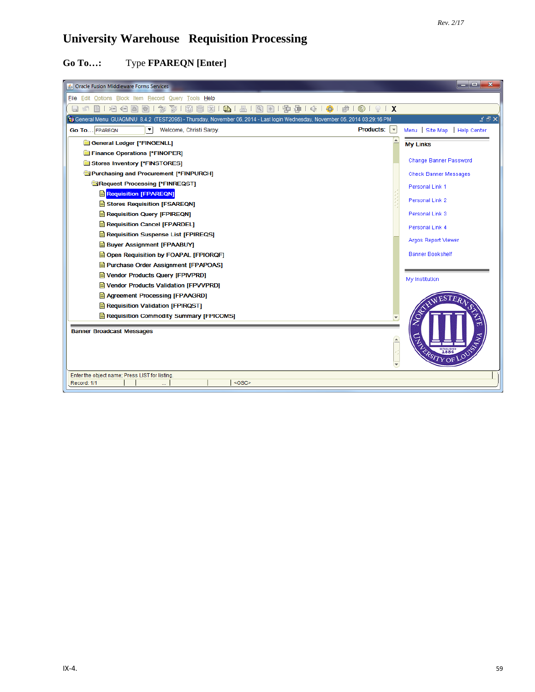# **University Warehouse Requisition Processing**

# **Go To…:** Type **FPAREQN [Enter]**

| Oracle Fusion Middleware Forms Services                                                                                    |                  | ا و اده<br>x                 |
|----------------------------------------------------------------------------------------------------------------------------|------------------|------------------------------|
| File Edit Options Block Item Record Query Tools Help                                                                       |                  |                              |
| 泪泪<br>E<br>ħ<br>3<br>$\bigoplus_{i=1}^n$<br>昌<br>E<br>圃<br>$\mathbb{X}$<br> Q <br>$+1$<br>a.<br>167<br>眉                   |                  |                              |
| 16 PM (29:16 PM) GUAGMNU 8.4.2 (TEST2095) - Thursday, November 06, 2014 - Last login Wednesday, November 05, 2014 03:29:16 |                  | $\leq$ $\oplus$ $\times$     |
| Products: $\vert \cdot \vert$<br>$\left[\rule{0pt}{10pt}\right.$<br><b>Go To</b> FPAREQN<br>Welcome, Christi Sarpy.        |                  | Menu Site Map<br>Help Center |
| General Ledger [*FINGENLL]                                                                                                 |                  | <b>My Links</b>              |
| Finance Operations [*FINOPER]                                                                                              |                  |                              |
| Stores Inventory [*FINSTORES]                                                                                              |                  | Change Banner Password       |
| Purchasing and Procurement [*FINPURCH]                                                                                     |                  | <b>Check Banner Messages</b> |
| Request Processing [*FINREQST]                                                                                             |                  | Personal Link 1              |
| <b>Requisition [FPAREQN]</b>                                                                                               |                  | Personal Link 2              |
| Stores Requisition [FSAREQN]                                                                                               |                  |                              |
| Requisition Query [FPIREQN]                                                                                                |                  | Personal Link 3              |
| Requisition Cancel [FPARDEL]                                                                                               |                  | Personal Link 4              |
| Requisition Suspense List [FPIREQS]                                                                                        |                  | Argos Report Viewer          |
| <b>Buyer Assignment [FPAABUY]</b>                                                                                          |                  |                              |
| Open Requisition by FOAPAL [FPIORQF]                                                                                       |                  | <b>Banner Bookshelf</b>      |
| Purchase Order Assignment [FPAPOAS]                                                                                        |                  |                              |
| Vendor Products Query [FPIVPRD]                                                                                            |                  | My Institution               |
| Vendor Products Validation [FPVVPRD]                                                                                       |                  |                              |
| Agreement Processing [FPAAGRD]<br>Requisition Validation [FPIRQST]                                                         |                  |                              |
| Requisition Commodity Summary [FPICOMS]                                                                                    |                  |                              |
|                                                                                                                            |                  | σ                            |
| <b>Banner Broadcast Messages</b>                                                                                           |                  |                              |
|                                                                                                                            | $\blacktriangle$ |                              |
|                                                                                                                            |                  | ERSITY OF LOUD               |
|                                                                                                                            |                  |                              |
| Enter the object name; Press LIST for listing.                                                                             |                  |                              |
| $<$ OSC><br>Record: 1/1                                                                                                    |                  |                              |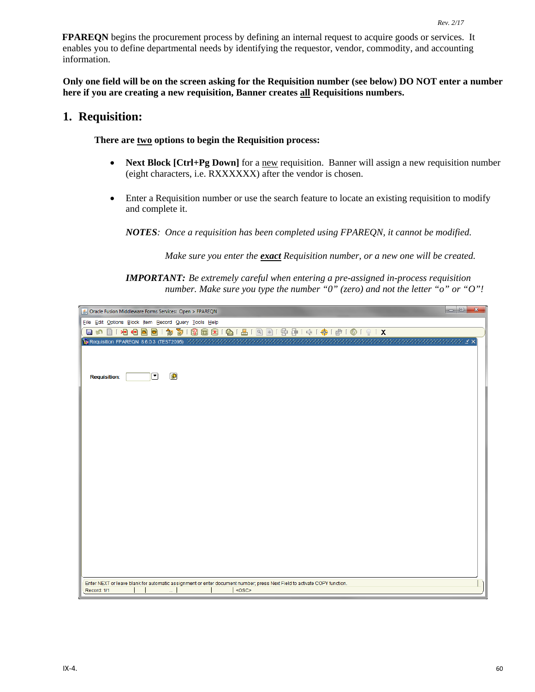**FPAREQN** begins the procurement process by defining an internal request to acquire goods or services. It enables you to define departmental needs by identifying the requestor, vendor, commodity, and accounting information.

**Only one field will be on the screen asking for the Requisition number (see below) DO NOT enter a number here if you are creating a new requisition, Banner creates all Requisitions numbers.** 

### **1. Requisition:**

**There are two options to begin the Requisition process:** 

- **Next Block [Ctrl+Pg Down]** for a new requisition. Banner will assign a new requisition number (eight characters, i.e. RXXXXXX) after the vendor is chosen.
- Enter a Requisition number or use the search feature to locate an existing requisition to modify and complete it.

*NOTES: Once a requisition has been completed using FPAREQN, it cannot be modified.* 

*Make sure you enter the exact Requisition number, or a new one will be created.*

*IMPORTANT: Be extremely careful when entering a pre-assigned in-process requisition number. Make sure you type the number "0" (zero) and not the letter "o" or "O"!*

| $= 0$<br>$\mathbf{x}$<br><u>5</u> Oracle Fusion Middleware Forms Services: Open > FPAREQN                                |
|--------------------------------------------------------------------------------------------------------------------------|
| File Edit Options Block Item Record Query Tools Help                                                                     |
| 3 9 8 8 8 1 8 1 8 1 8 8 1 9 8 1 4 1 4 1 4 1 6 1 0 1 0 1 0 1 X<br>相相固固<br>御面<br>冒め<br>目「                                  |
| <b>Val Requisition FPAREQN 8.6.0.3 (TEST2095)</b> 3.3.3.3.3.3.3.3.3.3.                                                   |
|                                                                                                                          |
|                                                                                                                          |
| ¢<br>罓<br><b>Requisition:</b>                                                                                            |
|                                                                                                                          |
|                                                                                                                          |
|                                                                                                                          |
|                                                                                                                          |
|                                                                                                                          |
|                                                                                                                          |
|                                                                                                                          |
|                                                                                                                          |
|                                                                                                                          |
|                                                                                                                          |
|                                                                                                                          |
|                                                                                                                          |
|                                                                                                                          |
|                                                                                                                          |
|                                                                                                                          |
|                                                                                                                          |
|                                                                                                                          |
|                                                                                                                          |
|                                                                                                                          |
| Enter NEXT or leave blank for automatic assignment or enter document number; press Next Field to activate COPY function. |
| $<$ OSC><br>Record: 1/1<br>u.                                                                                            |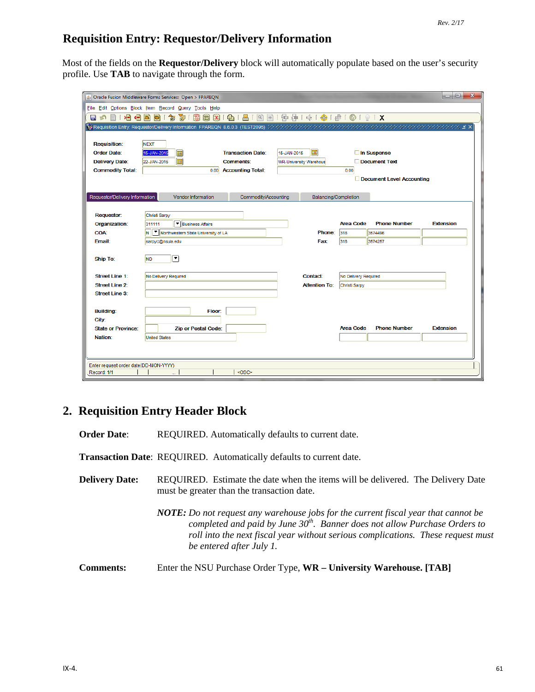# **Requisition Entry: Requestor/Delivery Information**

Most of the fields on the **Requestor/Delivery** block will automatically populate based on the user's security profile. Use **TAB** to navigate through the form.

|                                                  | S Oracle Fusion Middleware Forms Services: Open > FPAREQN                                                             |                                            |             |                               |                      |                           | lo O<br>$\mathbf{x}$ |
|--------------------------------------------------|-----------------------------------------------------------------------------------------------------------------------|--------------------------------------------|-------------|-------------------------------|----------------------|---------------------------|----------------------|
|                                                  | File Edit Options Block Item Record Query Tools Help                                                                  |                                            |             |                               |                      |                           |                      |
| 相相固<br>目の<br>e de                                | 御<br>面Ⅰ<br>国 [X]<br>Ð<br>$\mathbf{P}$                                                                                 | $\bigoplus$<br>昌!<br> Q                    |             | 图   中国   中国 中国 中国 国   5       |                      |                           |                      |
|                                                  | <b>Variable University: Requestor/Delivery Information FPAREQN 8.6.0.3 (TEST2095)</b> (2000) 2000 2000 2000 2000 2000 |                                            |             |                               |                      |                           |                      |
|                                                  |                                                                                                                       |                                            |             |                               |                      |                           |                      |
| <b>Requisition:</b>                              | <b>NEXT</b>                                                                                                           |                                            |             |                               |                      |                           |                      |
| <b>Order Date:</b>                               | ⊞<br>15-JAN-2015                                                                                                      | <b>Transaction Date:</b>                   | 15-JAN-2015 | 囲                             |                      | $\Box$ In Suspense        |                      |
| <b>Delivery Date:</b><br><b>Commodity Total:</b> | Ħ<br>22-JAN-2015                                                                                                      | <b>Comments:</b><br>0.00 Accounting Total: |             | <b>WR-University Warehous</b> | 0.00                 | Document Text             |                      |
|                                                  |                                                                                                                       |                                            |             |                               |                      | Document Level Accounting |                      |
|                                                  |                                                                                                                       |                                            |             |                               |                      |                           |                      |
| Requestor/Delivery Information                   | Vendor Information                                                                                                    | Commodity/Accounting                       |             | Balancing/Completion          |                      |                           |                      |
|                                                  |                                                                                                                       |                                            |             |                               |                      |                           |                      |
| <b>Requestor:</b>                                | Christi Sarpy                                                                                                         |                                            |             |                               |                      |                           |                      |
| Organization:                                    | Business Affairs<br>311111                                                                                            |                                            |             |                               | <b>Area Code</b>     | <b>Phone Number</b>       | <b>Extension</b>     |
| <b>COA:</b>                                      | N       Northwestern State University of LA                                                                           |                                            |             | Phone:                        | 318                  | 3574496                   |                      |
| Email:                                           | sarpyc@nsula.edu                                                                                                      |                                            |             | <b>Fax:</b>                   | 318                  | 3574257                   |                      |
| <b>Ship To:</b>                                  | 罓<br><b>ND</b>                                                                                                        |                                            |             |                               |                      |                           |                      |
|                                                  |                                                                                                                       |                                            |             |                               |                      |                           |                      |
| <b>Street Line 1:</b>                            | No Delivery Required                                                                                                  |                                            |             | Contact:                      | No Delivery Required |                           |                      |
| <b>Street Line 2:</b>                            |                                                                                                                       |                                            |             | <b>Attention To:</b>          | Christi Sarpy        |                           |                      |
| <b>Street Line 3:</b>                            |                                                                                                                       |                                            |             |                               |                      |                           |                      |
|                                                  |                                                                                                                       |                                            |             |                               |                      |                           |                      |
| <b>Building:</b>                                 | Floor:                                                                                                                |                                            |             |                               |                      |                           |                      |
| City:<br><b>State or Province:</b>               | <b>Zip or Postal Code:</b>                                                                                            |                                            |             |                               | <b>Area Code</b>     | <b>Phone Number</b>       | <b>Extension</b>     |
| Nation:                                          | <b>United States</b>                                                                                                  |                                            |             |                               |                      |                           |                      |
|                                                  |                                                                                                                       |                                            |             |                               |                      |                           |                      |
|                                                  |                                                                                                                       |                                            |             |                               |                      |                           |                      |
| Enter request order date(DD-MON-YYYY)            |                                                                                                                       |                                            |             |                               |                      |                           |                      |
| Record: 1/1                                      |                                                                                                                       | <osc></osc>                                |             |                               |                      |                           |                      |

# **2. Requisition Entry Header Block**

| <b>Order Date:</b>    | REQUIRED. Automatically defaults to current date.                                                                                                                                                                                                                                         |
|-----------------------|-------------------------------------------------------------------------------------------------------------------------------------------------------------------------------------------------------------------------------------------------------------------------------------------|
|                       | Transaction Date: REQUIRED. Automatically defaults to current date.                                                                                                                                                                                                                       |
| <b>Delivery Date:</b> | REQUIRED. Estimate the date when the items will be delivered. The Delivery Date<br>must be greater than the transaction date.                                                                                                                                                             |
|                       | <b>NOTE:</b> Do not request any warehouse jobs for the current fiscal year that cannot be<br>completed and paid by June $30th$ . Banner does not allow Purchase Orders to<br>roll into the next fiscal year without serious complications. These request must<br>be entered after July 1. |
| <b>Comments:</b>      | Enter the NSU Purchase Order Type, WR - University Warehouse. [TAB]                                                                                                                                                                                                                       |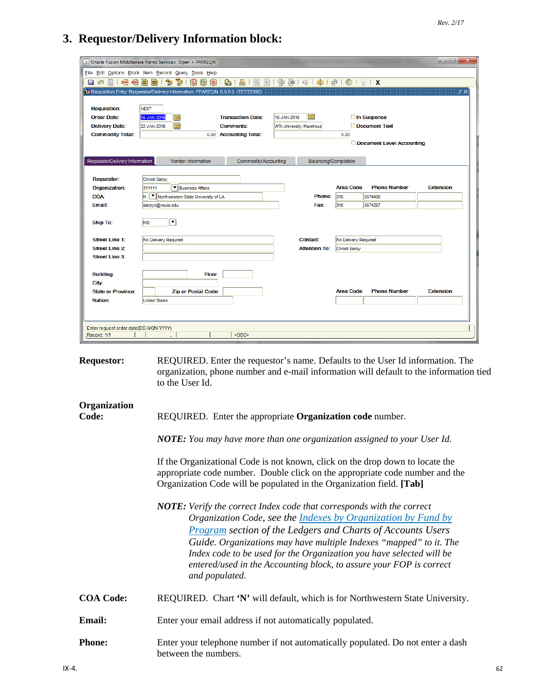### **3. Requestor/Delivery Information block:**

| & Oracle Fusion Middleware Forms Services: Open > FPAREON<br>File Edit Options Block Item Record Query Tools Help<br>81919191191191914140101918<br>滑量<br>寄<br>82<br>圇<br>匐<br>困<br>ē<br>О<br><b>IST</b><br>眉<br><b>Requisition:</b><br><b>NEXT</b><br>圃<br><b>Transaction Date:</b><br><b>Order Date:</b><br>15-JAN-2015<br>Œ<br>15-JAN-2015<br>□ In Suspense<br>匣<br><b>Delivery Date:</b><br>Document Text<br>22-JAN-2015<br><b>Comments:</b><br><b>WR-University Warehous</b><br><b>Commodity Total:</b><br><b>Accounting Total:</b><br>0.00<br>0.00<br>Document Level Accounting<br>Requestor/Delivery Information<br>Vendor Information<br>Commodity/Accounting<br>Balancing/Completion<br><b>Requestor:</b><br>Christi Sarpy<br>▼ Business Affairs<br><b>Area Code</b><br><b>Phone Number</b><br><b>Extension</b><br>Organization:<br>311111<br>Northwestern State University of LA<br><b>COA:</b><br>N<br>Phone:<br>318<br>3574496<br>318<br>3574257<br>Email:<br>sarpyc@nsula.edu<br>Fax<br>$\overline{\phantom{a}}$<br><b>ND</b><br><b>Ship To:</b><br><b>Street Line 1:</b><br><b>Contact:</b><br>No Delivery Required<br>No Delivery Required<br>Street Line 2:<br><b>Attention To:</b><br>Christi Sarpy<br><b>Street Line 3:</b><br><b>Building:</b><br>Floor:<br>City:<br><b>State or Province:</b><br>Area Code<br><b>Phone Number</b><br><b>Extension</b><br><b>Zip or Postal Code:</b><br>Nation:<br><b>United States</b><br>Enter request order date(DD-MON-YYYY)<br><0SC><br>Record: 1/1 |  |  | $\mathbf{x}$<br>$= 0$ |
|------------------------------------------------------------------------------------------------------------------------------------------------------------------------------------------------------------------------------------------------------------------------------------------------------------------------------------------------------------------------------------------------------------------------------------------------------------------------------------------------------------------------------------------------------------------------------------------------------------------------------------------------------------------------------------------------------------------------------------------------------------------------------------------------------------------------------------------------------------------------------------------------------------------------------------------------------------------------------------------------------------------------------------------------------------------------------------------------------------------------------------------------------------------------------------------------------------------------------------------------------------------------------------------------------------------------------------------------------------------------------------------------------------------------------------------------------------------------------------------------------------|--|--|-----------------------|
|                                                                                                                                                                                                                                                                                                                                                                                                                                                                                                                                                                                                                                                                                                                                                                                                                                                                                                                                                                                                                                                                                                                                                                                                                                                                                                                                                                                                                                                                                                            |  |  |                       |
|                                                                                                                                                                                                                                                                                                                                                                                                                                                                                                                                                                                                                                                                                                                                                                                                                                                                                                                                                                                                                                                                                                                                                                                                                                                                                                                                                                                                                                                                                                            |  |  |                       |
|                                                                                                                                                                                                                                                                                                                                                                                                                                                                                                                                                                                                                                                                                                                                                                                                                                                                                                                                                                                                                                                                                                                                                                                                                                                                                                                                                                                                                                                                                                            |  |  |                       |
|                                                                                                                                                                                                                                                                                                                                                                                                                                                                                                                                                                                                                                                                                                                                                                                                                                                                                                                                                                                                                                                                                                                                                                                                                                                                                                                                                                                                                                                                                                            |  |  |                       |
|                                                                                                                                                                                                                                                                                                                                                                                                                                                                                                                                                                                                                                                                                                                                                                                                                                                                                                                                                                                                                                                                                                                                                                                                                                                                                                                                                                                                                                                                                                            |  |  |                       |
|                                                                                                                                                                                                                                                                                                                                                                                                                                                                                                                                                                                                                                                                                                                                                                                                                                                                                                                                                                                                                                                                                                                                                                                                                                                                                                                                                                                                                                                                                                            |  |  |                       |
|                                                                                                                                                                                                                                                                                                                                                                                                                                                                                                                                                                                                                                                                                                                                                                                                                                                                                                                                                                                                                                                                                                                                                                                                                                                                                                                                                                                                                                                                                                            |  |  |                       |
|                                                                                                                                                                                                                                                                                                                                                                                                                                                                                                                                                                                                                                                                                                                                                                                                                                                                                                                                                                                                                                                                                                                                                                                                                                                                                                                                                                                                                                                                                                            |  |  |                       |
|                                                                                                                                                                                                                                                                                                                                                                                                                                                                                                                                                                                                                                                                                                                                                                                                                                                                                                                                                                                                                                                                                                                                                                                                                                                                                                                                                                                                                                                                                                            |  |  |                       |
|                                                                                                                                                                                                                                                                                                                                                                                                                                                                                                                                                                                                                                                                                                                                                                                                                                                                                                                                                                                                                                                                                                                                                                                                                                                                                                                                                                                                                                                                                                            |  |  |                       |
|                                                                                                                                                                                                                                                                                                                                                                                                                                                                                                                                                                                                                                                                                                                                                                                                                                                                                                                                                                                                                                                                                                                                                                                                                                                                                                                                                                                                                                                                                                            |  |  |                       |
|                                                                                                                                                                                                                                                                                                                                                                                                                                                                                                                                                                                                                                                                                                                                                                                                                                                                                                                                                                                                                                                                                                                                                                                                                                                                                                                                                                                                                                                                                                            |  |  |                       |
|                                                                                                                                                                                                                                                                                                                                                                                                                                                                                                                                                                                                                                                                                                                                                                                                                                                                                                                                                                                                                                                                                                                                                                                                                                                                                                                                                                                                                                                                                                            |  |  |                       |
|                                                                                                                                                                                                                                                                                                                                                                                                                                                                                                                                                                                                                                                                                                                                                                                                                                                                                                                                                                                                                                                                                                                                                                                                                                                                                                                                                                                                                                                                                                            |  |  |                       |
|                                                                                                                                                                                                                                                                                                                                                                                                                                                                                                                                                                                                                                                                                                                                                                                                                                                                                                                                                                                                                                                                                                                                                                                                                                                                                                                                                                                                                                                                                                            |  |  |                       |
|                                                                                                                                                                                                                                                                                                                                                                                                                                                                                                                                                                                                                                                                                                                                                                                                                                                                                                                                                                                                                                                                                                                                                                                                                                                                                                                                                                                                                                                                                                            |  |  |                       |
|                                                                                                                                                                                                                                                                                                                                                                                                                                                                                                                                                                                                                                                                                                                                                                                                                                                                                                                                                                                                                                                                                                                                                                                                                                                                                                                                                                                                                                                                                                            |  |  |                       |
|                                                                                                                                                                                                                                                                                                                                                                                                                                                                                                                                                                                                                                                                                                                                                                                                                                                                                                                                                                                                                                                                                                                                                                                                                                                                                                                                                                                                                                                                                                            |  |  |                       |
|                                                                                                                                                                                                                                                                                                                                                                                                                                                                                                                                                                                                                                                                                                                                                                                                                                                                                                                                                                                                                                                                                                                                                                                                                                                                                                                                                                                                                                                                                                            |  |  |                       |
|                                                                                                                                                                                                                                                                                                                                                                                                                                                                                                                                                                                                                                                                                                                                                                                                                                                                                                                                                                                                                                                                                                                                                                                                                                                                                                                                                                                                                                                                                                            |  |  |                       |
|                                                                                                                                                                                                                                                                                                                                                                                                                                                                                                                                                                                                                                                                                                                                                                                                                                                                                                                                                                                                                                                                                                                                                                                                                                                                                                                                                                                                                                                                                                            |  |  |                       |
|                                                                                                                                                                                                                                                                                                                                                                                                                                                                                                                                                                                                                                                                                                                                                                                                                                                                                                                                                                                                                                                                                                                                                                                                                                                                                                                                                                                                                                                                                                            |  |  |                       |
|                                                                                                                                                                                                                                                                                                                                                                                                                                                                                                                                                                                                                                                                                                                                                                                                                                                                                                                                                                                                                                                                                                                                                                                                                                                                                                                                                                                                                                                                                                            |  |  |                       |
|                                                                                                                                                                                                                                                                                                                                                                                                                                                                                                                                                                                                                                                                                                                                                                                                                                                                                                                                                                                                                                                                                                                                                                                                                                                                                                                                                                                                                                                                                                            |  |  |                       |
|                                                                                                                                                                                                                                                                                                                                                                                                                                                                                                                                                                                                                                                                                                                                                                                                                                                                                                                                                                                                                                                                                                                                                                                                                                                                                                                                                                                                                                                                                                            |  |  |                       |
|                                                                                                                                                                                                                                                                                                                                                                                                                                                                                                                                                                                                                                                                                                                                                                                                                                                                                                                                                                                                                                                                                                                                                                                                                                                                                                                                                                                                                                                                                                            |  |  |                       |
|                                                                                                                                                                                                                                                                                                                                                                                                                                                                                                                                                                                                                                                                                                                                                                                                                                                                                                                                                                                                                                                                                                                                                                                                                                                                                                                                                                                                                                                                                                            |  |  |                       |
|                                                                                                                                                                                                                                                                                                                                                                                                                                                                                                                                                                                                                                                                                                                                                                                                                                                                                                                                                                                                                                                                                                                                                                                                                                                                                                                                                                                                                                                                                                            |  |  |                       |
|                                                                                                                                                                                                                                                                                                                                                                                                                                                                                                                                                                                                                                                                                                                                                                                                                                                                                                                                                                                                                                                                                                                                                                                                                                                                                                                                                                                                                                                                                                            |  |  |                       |
|                                                                                                                                                                                                                                                                                                                                                                                                                                                                                                                                                                                                                                                                                                                                                                                                                                                                                                                                                                                                                                                                                                                                                                                                                                                                                                                                                                                                                                                                                                            |  |  |                       |
|                                                                                                                                                                                                                                                                                                                                                                                                                                                                                                                                                                                                                                                                                                                                                                                                                                                                                                                                                                                                                                                                                                                                                                                                                                                                                                                                                                                                                                                                                                            |  |  |                       |
|                                                                                                                                                                                                                                                                                                                                                                                                                                                                                                                                                                                                                                                                                                                                                                                                                                                                                                                                                                                                                                                                                                                                                                                                                                                                                                                                                                                                                                                                                                            |  |  |                       |

**Requestor:** REQUIRED. Enter the requestor's name. Defaults to the User Id information. The organization, phone number and e-mail information will default to the information tied to the User Id.

# **Organization Code:** REQUIRED. Enter the appropriate **Organization code** number. *NOTE: You may have more than one organization assigned to your User Id.* If the Organizational Code is not known, click on the drop down to locate the appropriate code number. Double click on the appropriate code number and the Organization Code will be populated in the Organization field. **[Tab]** *NOTE: Verify the correct Index code that corresponds with the correct Organization Code, see the Indexes by Organization by Fund by Program section of the Ledgers and Charts of Accounts Users Guide. Organizations may have multiple Indexes "mapped" to it. The Index code to be used for the Organization you have selected will be entered/used in the Accounting block, to assure your FOP is correct and populated.* **COA Code:** REQUIRED. Chart **'N'** will default, which is for Northwestern State University. **Email:** Enter your email address if not automatically populated.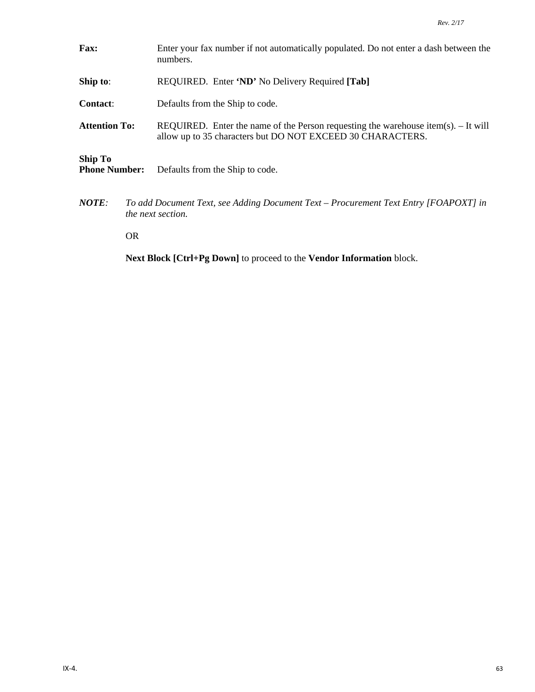- **Fax:** Enter your fax number if not automatically populated. Do not enter a dash between the numbers. **Ship to**: REQUIRED. Enter **'ND'** No Delivery Required **[Tab] Contact**: Defaults from the Ship to code. **Attention To:** REQUIRED. Enter the name of the Person requesting the warehouse item(s). – It will allow up to 35 characters but DO NOT EXCEED 30 CHARACTERS. **Ship To**  Defaults from the Ship to code.
- *NOTE: To add Document Text, see Adding Document Text – Procurement Text Entry [FOAPOXT] in the next section.*

OR

**Next Block [Ctrl+Pg Down]** to proceed to the **Vendor Information** block.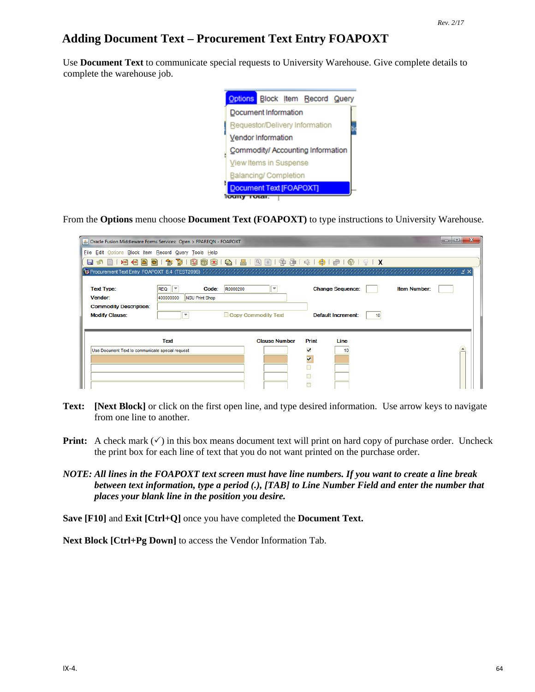# **Adding Document Text – Procurement Text Entry FOAPOXT**

Use **Document Text** to communicate special requests to University Warehouse. Give complete details to complete the warehouse job.



From the **Options** menu choose **Document Text (FOAPOXT)** to type instructions to University Warehouse.

|                                                                                        | S Oracle Fusion Middleware Forms Services: Open > FPAREQN - FOAPOXT                                                           |                                                 |                                                      |                                                            |                     | o e<br>x |
|----------------------------------------------------------------------------------------|-------------------------------------------------------------------------------------------------------------------------------|-------------------------------------------------|------------------------------------------------------|------------------------------------------------------------|---------------------|----------|
| File Edit Options Block Item Record Query Tools Help                                   |                                                                                                                               |                                                 |                                                      |                                                            |                     |          |
| П                                                                                      |                                                                                                                               |                                                 |                                                      |                                                            |                     |          |
|                                                                                        | <b>[索] Procurement Text Entry FOAPOXT 8.4(TEST2095)</b> (クランタンフランフランフランクランフランフランフランフランフランフランフランフラン                            |                                                 |                                                      |                                                            |                     |          |
| <b>Text Type:</b><br>Vendor:<br><b>Commodity Description:</b><br><b>Modify Clause:</b> | <b>REQ</b><br>$\overline{\phantom{a}}$<br>Code:<br>R0000200<br>400000000<br><b>NSU Print Shop</b><br>$\overline{\phantom{a}}$ | $\overline{\phantom{a}}$<br>Copy Commodity Text |                                                      | <b>Change Sequence:</b><br><b>Default Increment:</b><br>10 | <b>Item Number:</b> |          |
| Use Document Text to communicate special request                                       | Text                                                                                                                          | <b>Clause Number</b>                            | Print<br>⊽<br>$\overline{\mathbf{v}}$<br>Г<br>П<br>г | Line<br>10                                                 |                     |          |

- **Text: [Next Block]** or click on the first open line, and type desired information. Use arrow keys to navigate from one line to another.
- **Print:** A check mark  $(\checkmark)$  in this box means document text will print on hard copy of purchase order. Uncheck the print box for each line of text that you do not want printed on the purchase order.
- *NOTE: All lines in the FOAPOXT text screen must have line numbers. If you want to create a line break between text information, type a period (.), [TAB] to Line Number Field and enter the number that places your blank line in the position you desire.*

**Save [F10]** and **Exit [Ctrl+Q]** once you have completed the **Document Text.**

**Next Block [Ctrl+Pg Down]** to access the Vendor Information Tab.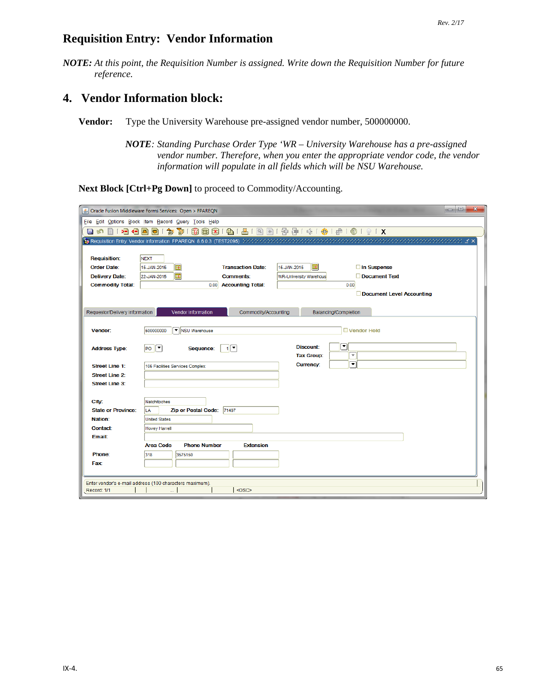### **Requisition Entry: Vendor Information**

*NOTE: At this point, the Requisition Number is assigned. Write down the Requisition Number for future reference.*

# **4. Vendor Information block:**

**Vendor:** Type the University Warehouse pre-assigned vendor number, 500000000.

*NOTE: Standing Purchase Order Type 'WR – University Warehouse has a pre-assigned vendor number. Therefore, when you enter the appropriate vendor code, the vendor information will populate in all fields which will be NSU Warehouse.*

**Next Block [Ctrl+Pg Down]** to proceed to Commodity/Accounting.

|                                | $\mathbf{x}$<br>Sol Oracle Fusion Middleware Forms Services: Open > FPAREQN                         |
|--------------------------------|-----------------------------------------------------------------------------------------------------|
|                                | File Edit Options Block Item Record Query Tools Help                                                |
| 12865)<br><b>EI</b> 16<br>自    | ■ 1<br>图图1中每100100181X<br>面Ⅰ<br><b>同区</b><br>$\bigoplus$ (<br>匍<br>R.<br>a                          |
|                                |                                                                                                     |
|                                |                                                                                                     |
| <b>Requisition:</b>            | <b>NEXT</b>                                                                                         |
| <b>Order Date:</b>             | E<br>圍<br><b>Transaction Date:</b><br>15-JAN-2015<br>□ In Suspense<br>15-JAN-2015                   |
| <b>Delivery Date:</b>          | $\blacksquare$<br>Document Text<br>22-JAN-2015<br><b>Comments:</b><br><b>WR-University Warehous</b> |
| <b>Commodity Total:</b>        | <b>Accounting Total:</b><br>0.00<br>0.00                                                            |
|                                | Document Level Accounting                                                                           |
|                                | Vendor Information                                                                                  |
| Requestor/Delivery Information | Commodity/Accounting<br>Balancing/Completion                                                        |
| Vendor:                        | ▼ NSU Warehouse<br>Vendor Hold<br>500000000                                                         |
|                                |                                                                                                     |
| <b>Address Type:</b>           | ∣र<br><b>Discount:</b><br>$P^o$<br>$\sqrt{2}$<br>Sequence:                                          |
|                                | $\overline{\mathbf v}$<br><b>Tax Group:</b>                                                         |
| <b>Street Line 1:</b>          | ▼<br><b>Currency:</b><br>105 Facilities Services Complex                                            |
| <b>Street Line 2:</b>          |                                                                                                     |
| <b>Street Line 3:</b>          |                                                                                                     |
|                                |                                                                                                     |
| City:                          | Natchitoches                                                                                        |
| <b>State or Province:</b>      | <b>Zip or Postal Code:</b><br>71497<br>LA                                                           |
| Nation:                        | <b>United States</b>                                                                                |
| <b>Contact:</b>                | <b>Hovey Harrell</b>                                                                                |
| Email:                         |                                                                                                     |
|                                | <b>Area Code</b><br><b>Phone Number</b><br><b>Extension</b>                                         |
| Phone:                         | 318<br>3575150                                                                                      |
| Fax:                           |                                                                                                     |
|                                |                                                                                                     |
|                                | Enter vendor's e-mail address (100 characters maximum).                                             |
| Record: 1/1                    | <0SC>                                                                                               |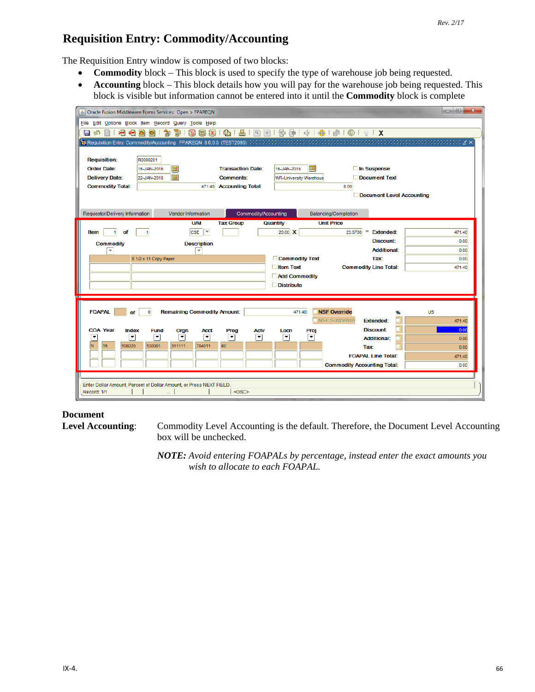## **Requisition Entry: Commodity/Accounting**

The Requisition Entry window is composed of two blocks:

- **Commodity** block This block is used to specify the type of warehouse job being requested.
- **Accounting** block This block details how you will pay for the warehouse job being requested. This block is visible but information cannot be entered into it until the **Commodity** block is complete

| Oracle Fusion Middleware Forms Services: Open > FPAREQN                                                         |                                                   | $\begin{tabular}{c} \multicolumn{1}{c}{\textbf{0} \end{tabular}} \begin{tabular}{c} \multicolumn{1}{c}{\textbf{0} \end{tabular}} \begin{tabular}{c} \multicolumn{1}{c}{\textbf{0} \end{tabular}} \begin{tabular}{c} \multicolumn{1}{c}{\textbf{0} \end{tabular}} \begin{tabular}{c} \multicolumn{1}{c}{\textbf{0} \end{tabular}} \begin{tabular}{c} \multicolumn{1}{c}{\textbf{0} \end{tabular}} \begin{tabular}{c} \multicolumn{1}{c}{\textbf{0} \end{tabular}} \begin{tabular}{c} \multicolumn{1}{c}{$<br>$\mathbf{x}$ |
|-----------------------------------------------------------------------------------------------------------------|---------------------------------------------------|--------------------------------------------------------------------------------------------------------------------------------------------------------------------------------------------------------------------------------------------------------------------------------------------------------------------------------------------------------------------------------------------------------------------------------------------------------------------------------------------------------------------------|
| File Edit Options Block Item Record Query Tools Help                                                            |                                                   |                                                                                                                                                                                                                                                                                                                                                                                                                                                                                                                          |
| 囹<br>$\Box$<br>日の目内日日日に<br>匐                                                                                    | ●181931中津1余1+1010191X                             |                                                                                                                                                                                                                                                                                                                                                                                                                                                                                                                          |
| 朝 Requisition Entry: Commodity/Accounting_FPAREQN_8.6.0.3(TEST2095)かかかかかかかかかかかかかかかかかかかかかかかかかかかかかいます。このことは、このことは |                                                   |                                                                                                                                                                                                                                                                                                                                                                                                                                                                                                                          |
|                                                                                                                 |                                                   |                                                                                                                                                                                                                                                                                                                                                                                                                                                                                                                          |
| <b>Requisition:</b><br>R0000201                                                                                 |                                                   |                                                                                                                                                                                                                                                                                                                                                                                                                                                                                                                          |
| <b>Order Date:</b><br>匣<br>15-JAN-2015                                                                          | ▦<br><b>Transaction Date:</b><br>15-JAN-2015      | □ In Suspense                                                                                                                                                                                                                                                                                                                                                                                                                                                                                                            |
| $\blacksquare$<br><b>Delivery Date:</b><br>22-JAN-2015                                                          | <b>Comments:</b><br><b>WR-University Warehous</b> | Document Text                                                                                                                                                                                                                                                                                                                                                                                                                                                                                                            |
| <b>Commodity Total:</b><br>471.40                                                                               | <b>Accounting Total:</b>                          | 0.00                                                                                                                                                                                                                                                                                                                                                                                                                                                                                                                     |
|                                                                                                                 |                                                   | Document Level Accounting                                                                                                                                                                                                                                                                                                                                                                                                                                                                                                |
|                                                                                                                 |                                                   |                                                                                                                                                                                                                                                                                                                                                                                                                                                                                                                          |
| Requestor/Delivery Information<br>Vendor Information                                                            | Commodity/Accounting<br>Balancing/Completion      |                                                                                                                                                                                                                                                                                                                                                                                                                                                                                                                          |
| <b>U/M</b>                                                                                                      | <b>Unit Price</b><br><b>Tax Group</b><br>Quantity |                                                                                                                                                                                                                                                                                                                                                                                                                                                                                                                          |
| $\overline{\mathbf{v}}$<br><b>CSE</b><br>Item<br>of                                                             | 20.00 X                                           | $=$<br><b>Extended:</b><br>471.40<br>23.5700                                                                                                                                                                                                                                                                                                                                                                                                                                                                             |
| <b>Commodity</b><br><b>Description</b>                                                                          |                                                   | <b>Discount:</b><br>0.00<br><b>Additional:</b>                                                                                                                                                                                                                                                                                                                                                                                                                                                                           |
| $\overline{\phantom{a}}$<br>$\overline{\phantom{0}}$<br>8 1/2 x 11 Copy Paper                                   | Commodity Text                                    | 0.00<br>Tax:<br>0.00                                                                                                                                                                                                                                                                                                                                                                                                                                                                                                     |
|                                                                                                                 | Item Text                                         | <b>Commodity Line Total:</b><br>471.40                                                                                                                                                                                                                                                                                                                                                                                                                                                                                   |
|                                                                                                                 | Add Commodity                                     |                                                                                                                                                                                                                                                                                                                                                                                                                                                                                                                          |
|                                                                                                                 | $\Box$ Distribute                                 |                                                                                                                                                                                                                                                                                                                                                                                                                                                                                                                          |
|                                                                                                                 |                                                   |                                                                                                                                                                                                                                                                                                                                                                                                                                                                                                                          |
|                                                                                                                 |                                                   |                                                                                                                                                                                                                                                                                                                                                                                                                                                                                                                          |
| <b>FOAPAL</b><br><b>Remaining Commodity Amount:</b><br>$\mathbf{0}$<br>οf                                       | <b>NSF Override</b><br>471.40                     | <b>US</b><br>%                                                                                                                                                                                                                                                                                                                                                                                                                                                                                                           |
|                                                                                                                 | <b>NSF Suspense</b>                               | <b>Extended:</b><br>471.40                                                                                                                                                                                                                                                                                                                                                                                                                                                                                               |
| <b>COA Year</b><br>Index<br><b>Fund</b><br>Orgn<br>Acct                                                         | Prog<br><b>Actv</b><br>Locn<br>Proj               | <b>Discount:</b><br>0.00                                                                                                                                                                                                                                                                                                                                                                                                                                                                                                 |
| ▼<br>↴<br>$\blacktriangledown$<br>$\overline{\phantom{a}}$<br>٠                                                 | ନ<br>ନ<br>회<br>▼                                  | <b>Additional:</b><br>0.00                                                                                                                                                                                                                                                                                                                                                                                                                                                                                               |
| 15<br>N<br>106020<br>100001<br>311111<br>704011                                                                 | 60                                                | Tax<br>0.00                                                                                                                                                                                                                                                                                                                                                                                                                                                                                                              |
|                                                                                                                 |                                                   | <b>FOAPAL Line Total:</b><br>471.40                                                                                                                                                                                                                                                                                                                                                                                                                                                                                      |
|                                                                                                                 |                                                   | <b>Commodity Accounting Total:</b><br>0.00                                                                                                                                                                                                                                                                                                                                                                                                                                                                               |
|                                                                                                                 |                                                   |                                                                                                                                                                                                                                                                                                                                                                                                                                                                                                                          |
| Enter Dollar Amount, Percent of Dollar Amount, or Press NEXT FIELD.<br>Record: 1/1                              | $<$ OSC>                                          |                                                                                                                                                                                                                                                                                                                                                                                                                                                                                                                          |
|                                                                                                                 |                                                   |                                                                                                                                                                                                                                                                                                                                                                                                                                                                                                                          |

#### **Document**

**Level Accounting**: Commodity Level Accounting is the default. Therefore, the Document Level Accounting box will be unchecked.

> *NOTE: Avoid entering FOAPALs by percentage, instead enter the exact amounts you wish to allocate to each FOAPAL.*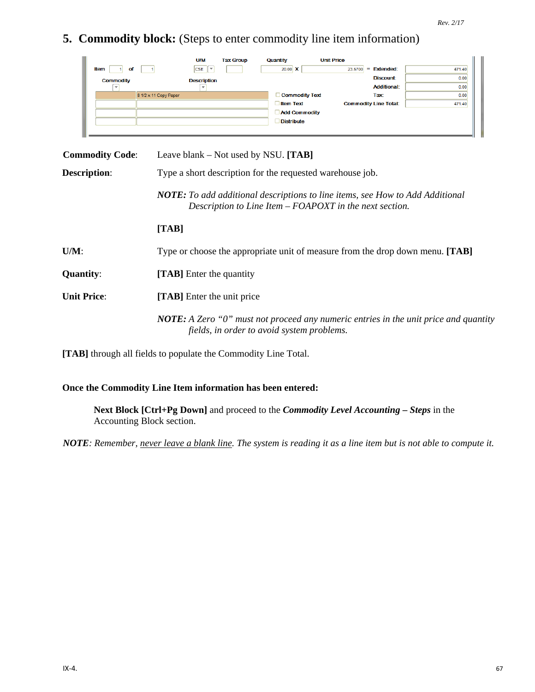**5. Commodity block:** (Steps to enter commodity line item information)

|                  | <b>U/M</b>                             | <b>Tax Group</b> | Quantity              | <b>Unit Price</b> |                              |        |
|------------------|----------------------------------------|------------------|-----------------------|-------------------|------------------------------|--------|
| Item<br>of       | <b>CSE</b><br>$\overline{\phantom{a}}$ |                  | 20.00 $\textbf{X}$    | 23,5700           | <b>Extended:</b><br>=        | 471.40 |
| <b>Commodity</b> | <b>Description</b>                     |                  |                       |                   | <b>Discount:</b>             | 0.00   |
|                  |                                        |                  |                       |                   | <b>Additional:</b>           | 0.00   |
|                  | 8 1/2 x 11 Copy Paper                  |                  | <b>Commodity Text</b> |                   | Tax:                         | 0.00   |
|                  |                                        |                  | <b>Item Text</b>      |                   | <b>Commodity Line Total:</b> | 471.40 |
|                  |                                        |                  | <b>Add Commodity</b>  |                   |                              |        |
|                  |                                        |                  | <b>Distribute</b>     |                   |                              |        |
|                  |                                        |                  |                       |                   |                              |        |
|                  |                                        |                  |                       |                   |                              |        |

| <b>Commodity Code:</b> | Leave blank – Not used by NSU. $[TAB]$                                                                                                          |
|------------------------|-------------------------------------------------------------------------------------------------------------------------------------------------|
| <b>Description:</b>    | Type a short description for the requested warehouse job.                                                                                       |
|                        | <b>NOTE:</b> To add additional descriptions to line items, see How to Add Additional<br>Description to Line Item – FOAPOXT in the next section. |
|                        | [TAB]                                                                                                                                           |
| $U/M$ :                | Type or choose the appropriate unit of measure from the drop down menu. [TAB]                                                                   |
| <b>Quantity:</b>       | <b>[TAB]</b> Enter the quantity                                                                                                                 |
| <b>Unit Price:</b>     | [TAB] Enter the unit price                                                                                                                      |
|                        | <b>NOTE:</b> A Zero " $0$ " must not proceed any numeric entries in the unit price and quantity<br>fields, in order to avoid system problems.   |

**[TAB]** through all fields to populate the Commodity Line Total.

#### **Once the Commodity Line Item information has been entered:**

**Next Block [Ctrl+Pg Down]** and proceed to the *Commodity Level Accounting – Steps* in the Accounting Block section.

*NOTE: Remember, never leave a blank line. The system is reading it as a line item but is not able to compute it.*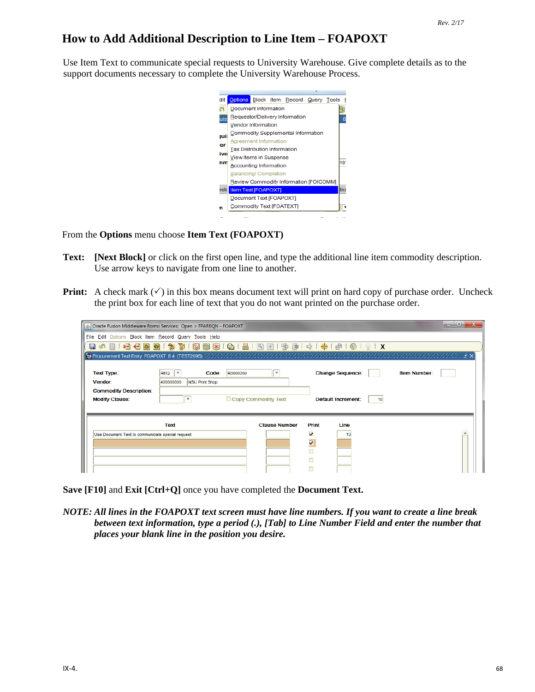## **How to Add Additional Description to Line Item – FOAPOXT**

Use Item Text to communicate special requests to University Warehouse. Give complete details as to the support documents necessary to complete the University Warehouse Process.

> dit Options Block Item Record Query Tools I Document Information n. B Requestor/Delivery Information  $\overline{8}$ uis Vendor Information Commodity Supplemental Information **jui: Agreement Information** ler Tax Distribution Information ive View Items in Suspense 197 nm Accounting Information **Balancing/Completion** Review Commodity Information [FOICOMM] este Item Text [FOAPOXT] Document Text [FOAPOXT] Commodity Text [FOATEXT] Ξ 'n  $\overline{\phantom{0}}$  $\sim$   $\sim$

From the **Options** menu choose **Item Text (FOAPOXT)**

- **Text: [Next Block]** or click on the first open line, and type the additional line item commodity description. Use arrow keys to navigate from one line to another.
- **Print:** A check mark  $(\checkmark)$  in this box means document text will print on hard copy of purchase order. Uncheck the print box for each line of text that you do not want printed on the purchase order.

|                                                        | S Oracle Fusion Middleware Forms Services: Open > FPAREQN - FOAPOXT |                          |                         |                           |                     | $\Box$<br>o |
|--------------------------------------------------------|---------------------------------------------------------------------|--------------------------|-------------------------|---------------------------|---------------------|-------------|
| File Edit Options Block Item Record Query Tools Help   |                                                                     |                          |                         |                           |                     |             |
| 相相固同<br>H<br>- 131                                     |                                                                     |                          |                         |                           |                     |             |
|                                                        |                                                                     |                          |                         |                           |                     |             |
| <b>Text Type:</b><br>Vendor:                           | Code:<br>R0000200<br><b>REQ</b><br>400000000<br>NSU Print Shop      | $\overline{\phantom{a}}$ |                         | <b>Change Sequence:</b>   | <b>Item Number:</b> |             |
| <b>Commodity Description:</b><br><b>Modify Clause:</b> | $\overline{\phantom{a}}$                                            | Copy Commodity Text      |                         | <b>Default Increment:</b> |                     |             |
|                                                        | Text                                                                | <b>Clause Number</b>     | Print                   | Line                      |                     |             |
| Use Document Text to communicate special request       |                                                                     |                          | $\overline{\mathbf{v}}$ | 10                        |                     |             |
|                                                        |                                                                     |                          | $\overline{\mathbf{v}}$ |                           |                     |             |
|                                                        |                                                                     |                          |                         |                           |                     |             |
|                                                        |                                                                     |                          |                         |                           |                     |             |

**Save [F10]** and **Exit [Ctrl+Q]** once you have completed the **Document Text.**

*NOTE: All lines in the FOAPOXT text screen must have line numbers. If you want to create a line break between text information, type a period (.), [Tab] to Line Number Field and enter the number that places your blank line in the position you desire.*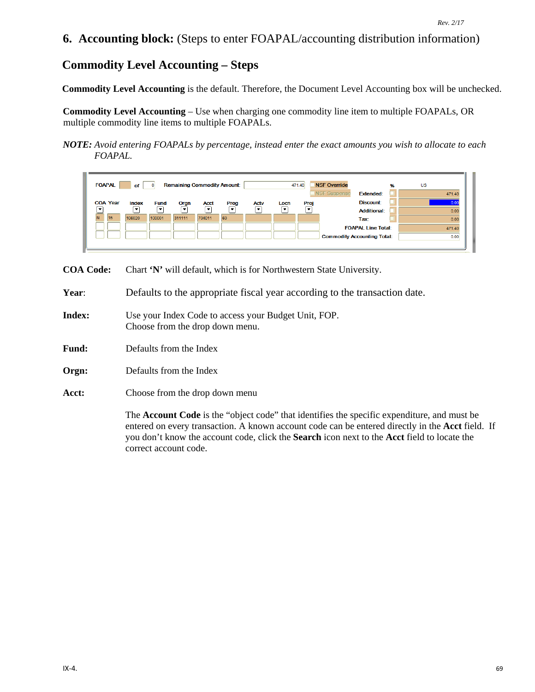### **6. Accounting block:** (Steps to enter FOAPAL/accounting distribution information)

## **Commodity Level Accounting – Steps**

**Commodity Level Accounting** is the default. Therefore, the Document Level Accounting box will be unchecked.

**Commodity Level Accounting** – Use when charging one commodity line item to multiple FOAPALs, OR multiple commodity line items to multiple FOAPALs.

*NOTE: Avoid entering FOAPALs by percentage, instead enter the exact amounts you wish to allocate to each FOAPAL.*



**COA Code:** Chart **'N'** will default, which is for Northwestern State University.

**Year**: Defaults to the appropriate fiscal year according to the transaction date.

- **Index:** Use your Index Code to access your Budget Unit, FOP. Choose from the drop down menu.
- **Fund:** Defaults from the Index
- **Orgn:** Defaults from the Index
- **Acct:** Choose from the drop down menu

The **Account Code** is the "object code" that identifies the specific expenditure, and must be entered on every transaction. A known account code can be entered directly in the **Acct** field. If you don't know the account code, click the **Search** icon next to the **Acct** field to locate the correct account code.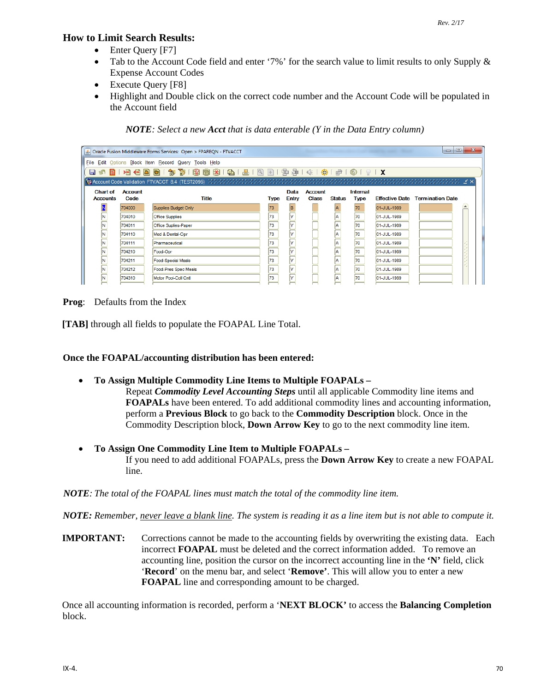#### **How to Limit Search Results:**

- Enter Query [F7]
- Tab to the Account Code field and enter '7%' for the search value to limit results to only Supply & Expense Account Codes
- Execute Query [F8]
- Highlight and Double click on the correct code number and the Account Code will be populated in the Account field

*NOTE: Select a new Acct that is data enterable (Y in the Data Entry column)*

|                                    |                                                      | △ Oracle Fusion Middleware Forms Services: Open > FPAREQN - FTVACCT                      |             |              |                |               |             |             | $\Box$ e                               | $\mathbf{x}$ |
|------------------------------------|------------------------------------------------------|------------------------------------------------------------------------------------------|-------------|--------------|----------------|---------------|-------------|-------------|----------------------------------------|--------------|
|                                    | File Edit Options Block Item Record Query Tools Help |                                                                                          |             |              |                |               |             |             |                                        |              |
|                                    |                                                      | 日 6 日 1 月 1日 日 日 日 1 か 節 1 認 画 図 1 印 1 日 1 日 1 日 1 中 1 年 1 キ 1 キ 1 ゃ 1 ゃ 1 や 1 の 1 ♀ 1 X |             |              |                |               |             |             |                                        |              |
|                                    |                                                      |                                                                                          |             |              |                |               |             |             |                                        |              |
| <b>Chart of</b>                    | <b>Account</b>                                       |                                                                                          |             | Data         | <b>Account</b> |               | Internal    |             |                                        |              |
| <b>Accounts</b>                    | Code                                                 | <b>Title</b>                                                                             | <b>Type</b> | <b>Entry</b> | <b>Class</b>   | <b>Status</b> | <b>Type</b> |             | <b>Effective Date Termination Date</b> |              |
|                                    | 704000                                               | Supplies Budget Only                                                                     | 73          | B            |                |               | 70          | 01-JUL-1989 |                                        |              |
| $\overline{\overline{\mathsf{N}}}$ | 704010                                               | <b>Office Supplies</b>                                                                   | 73          | l۷           |                | la            | 70          | 01-JUL-1989 |                                        |              |
| $\overline{\mathbf{N}}$            | 704011                                               | Office Suplies-Paper                                                                     | 73          | l۷           |                | A             | 70          | 01-JUL-1989 |                                        |              |
| N                                  | 704110                                               | Med & Dental-Opr                                                                         | 73          | l۷           |                | A             | 70          | 01-JUL-1989 |                                        |              |
| N                                  | 704111                                               | Pharmaceutical                                                                           | 73          | l۷           |                | A             | 170         | 01-JUL-1989 |                                        |              |
| $\overline{\mathbf{N}}$            | 704210                                               | Food-Opr                                                                                 | 73          | l۷           |                | A             | 70          | 01-JUL-1989 |                                        |              |
| N                                  | 704211                                               | <b>Food-Special Meals</b>                                                                | 73          | l۷           |                | A             | 170         | 01-JUL-1989 |                                        |              |
|                                    | 704212                                               | Food-Pres Spec Meals                                                                     | 73          | l۷           |                | A             | 70          | 01-JUL-1989 |                                        |              |
|                                    | 704310                                               | Motor Pool-Coll Cntl                                                                     | 73          | l۷           |                | A             | 70          | 01-JUL-1989 |                                        |              |
|                                    |                                                      |                                                                                          |             |              |                |               |             |             |                                        |              |

**Prog**: Defaults from the Index

**[TAB]** through all fields to populate the FOAPAL Line Total.

#### **Once the FOAPAL/accounting distribution has been entered:**

- **To Assign Multiple Commodity Line Items to Multiple FOAPALs –**
	- Repeat *Commodity Level Accounting Steps* until all applicable Commodity line items and **FOAPALs** have been entered. To add additional commodity lines and accounting information, perform a **Previous Block** to go back to the **Commodity Description** block. Once in the Commodity Description block, **Down Arrow Key** to go to the next commodity line item.
- **To Assign One Commodity Line Item to Multiple FOAPALs –** If you need to add additional FOAPALs, press the **Down Arrow Key** to create a new FOAPAL line.

*NOTE: The total of the FOAPAL lines must match the total of the commodity line item.*

*NOTE: Remember, never leave a blank line. The system is reading it as a line item but is not able to compute it.* 

**IMPORTANT:** Corrections cannot be made to the accounting fields by overwriting the existing data. Each incorrect **FOAPAL** must be deleted and the correct information added. To remove an accounting line, position the cursor on the incorrect accounting line in the **'N'** field, click '**Record**' on the menu bar, and select '**Remove'**. This will allow you to enter a new **FOAPAL** line and corresponding amount to be charged.

Once all accounting information is recorded, perform a '**NEXT BLOCK'** to access the **Balancing Completion** block.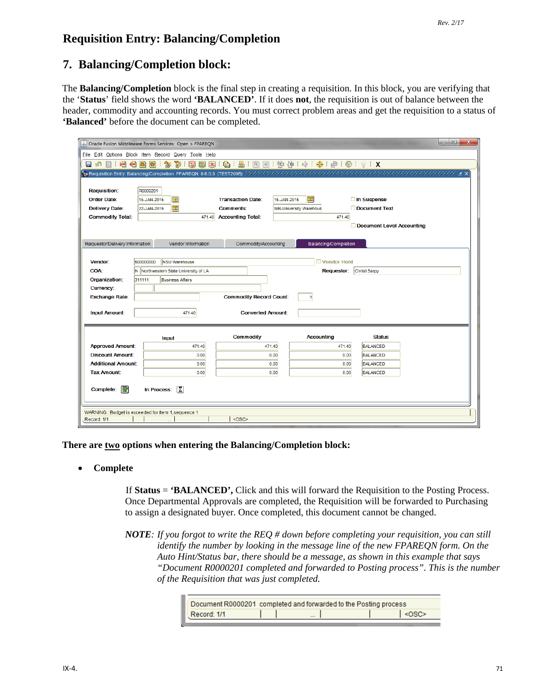# **Requisition Entry: Balancing/Completion**

### **7. Balancing/Completion block:**

The **Balancing/Completion** block is the final step in creating a requisition. In this block, you are verifying that the '**Status**' field shows the word **'BALANCED'**. If it does **not**, the requisition is out of balance between the header, commodity and accounting records. You must correct problem areas and get the requisition to a status of **'Balanced'** before the document can be completed.

|                                                                             | $-10$<br>$\mathbf{x}$<br>Sol Oracle Fusion Middleware Forms Services: Open > FPAREQN           |  |  |  |  |  |  |  |
|-----------------------------------------------------------------------------|------------------------------------------------------------------------------------------------|--|--|--|--|--|--|--|
|                                                                             | File Edit Options Block Item Record Query Tools Help                                           |  |  |  |  |  |  |  |
| 相相固<br>e ka                                                                 | 昌 [<br>寄<br>$\bigoplus_{i=1}^n$<br>句<br>$\mathbb{R}$<br>同 X  <br>Ð                             |  |  |  |  |  |  |  |
|                                                                             |                                                                                                |  |  |  |  |  |  |  |
|                                                                             |                                                                                                |  |  |  |  |  |  |  |
| <b>Requisition:</b>                                                         | R0000201                                                                                       |  |  |  |  |  |  |  |
| <b>Order Date:</b>                                                          | $\blacksquare$<br><b>Transaction Date:</b><br>□ In Suspense<br>圃<br>15-JAN-2015<br>15-JAN-2015 |  |  |  |  |  |  |  |
| <b>Delivery Date:</b>                                                       | 圃<br>Document Text<br><b>Comments:</b><br>22-JAN-2015<br><b>WR-University Warehous</b>         |  |  |  |  |  |  |  |
| <b>Commodity Total:</b>                                                     | <b>Accounting Total:</b><br>471.40<br>471.40                                                   |  |  |  |  |  |  |  |
|                                                                             | Document Level Accounting                                                                      |  |  |  |  |  |  |  |
|                                                                             |                                                                                                |  |  |  |  |  |  |  |
| Requestor/Delivery Information                                              | Commodity/Accounting<br>Balancing/Completion<br>Vendor Information                             |  |  |  |  |  |  |  |
| Vendor:                                                                     | 500000000<br>Vendor Hold<br><b>NSU Warehouse</b>                                               |  |  |  |  |  |  |  |
| <b>COA:</b>                                                                 | N Northwestern State University of LA<br><b>Requestor:</b><br>Christi Sarpy                    |  |  |  |  |  |  |  |
| Organization:                                                               | 311111<br><b>Business Affairs</b>                                                              |  |  |  |  |  |  |  |
| <b>Currency:</b>                                                            |                                                                                                |  |  |  |  |  |  |  |
| <b>Exchange Rate:</b>                                                       | <b>Commodity Record Count:</b>                                                                 |  |  |  |  |  |  |  |
|                                                                             |                                                                                                |  |  |  |  |  |  |  |
| <b>Input Amount:</b>                                                        | <b>Converted Amount:</b><br>471.40                                                             |  |  |  |  |  |  |  |
|                                                                             |                                                                                                |  |  |  |  |  |  |  |
|                                                                             | <b>Commodity</b><br><b>Accounting</b><br><b>Status</b><br>Input                                |  |  |  |  |  |  |  |
| <b>Approved Amount:</b>                                                     | 471.40<br>471.40<br><b>BALANCED</b><br>471.40                                                  |  |  |  |  |  |  |  |
| <b>Discount Amount:</b>                                                     | 0.00<br>0.00<br><b>BALANCED</b><br>0.00                                                        |  |  |  |  |  |  |  |
| <b>Additional Amount:</b>                                                   | 0.00<br><b>BALANCED</b><br>0.00<br>0.00                                                        |  |  |  |  |  |  |  |
| <b>Tax Amount:</b>                                                          | 0.00<br>0.00<br>0.00<br><b>BALANCED</b>                                                        |  |  |  |  |  |  |  |
| Complete:<br>國<br>$\sqrt{2}$<br>In Process:                                 |                                                                                                |  |  |  |  |  |  |  |
| WARNING : Budget is exceeded for item 1, sequence 1<br><0SC><br>Record: 1/1 |                                                                                                |  |  |  |  |  |  |  |

**There are two options when entering the Balancing/Completion block:**

#### • **Complete**

If **Status** = **'BALANCED',** Click and this will forward the Requisition to the Posting Process. Once Departmental Approvals are completed, the Requisition will be forwarded to Purchasing to assign a designated buyer. Once completed, this document cannot be changed.

*NOTE: If you forgot to write the REQ # down before completing your requisition, you can still identify the number by looking in the message line of the new FPAREQN form. On the Auto Hint/Status bar, there should be a message, as shown in this example that says "Document R0000201 completed and forwarded to Posting process". This is the number of the Requisition that was just completed.*

| Document R0000201 completed and forwarded to the Posting process |          |               |
|------------------------------------------------------------------|----------|---------------|
| Record: 1/1                                                      | $\cdots$ | $<\Omega$ SC> |
|                                                                  |          |               |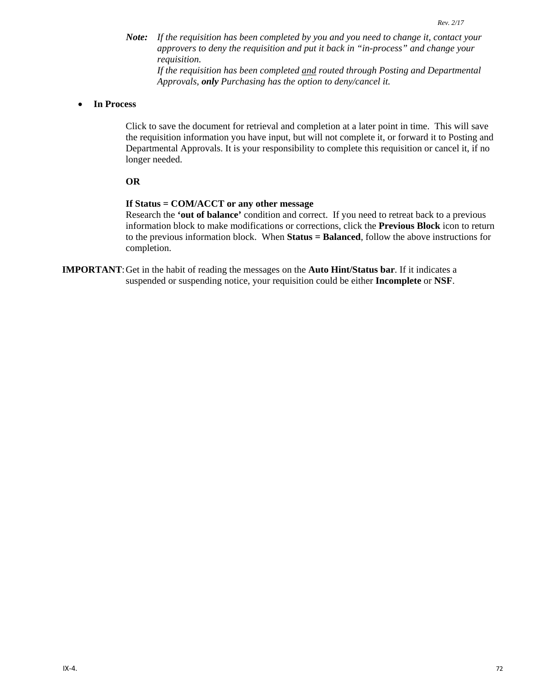*Note: If the requisition has been completed by you and you need to change it, contact your approvers to deny the requisition and put it back in "in-process" and change your requisition. If the requisition has been completed and routed through Posting and Departmental* 

*Approvals, only Purchasing has the option to deny/cancel it.*

#### • **In Process**

Click to save the document for retrieval and completion at a later point in time. This will save the requisition information you have input, but will not complete it, or forward it to Posting and Departmental Approvals. It is your responsibility to complete this requisition or cancel it, if no longer needed.

#### **OR**

#### **If Status = COM/ACCT or any other message**

Research the **'out of balance'** condition and correct. If you need to retreat back to a previous information block to make modifications or corrections, click the **Previous Block** icon to return to the previous information block. When **Status = Balanced**, follow the above instructions for completion.

**IMPORTANT**:Get in the habit of reading the messages on the **Auto Hint/Status bar**. If it indicates a suspended or suspending notice, your requisition could be either **Incomplete** or **NSF**.